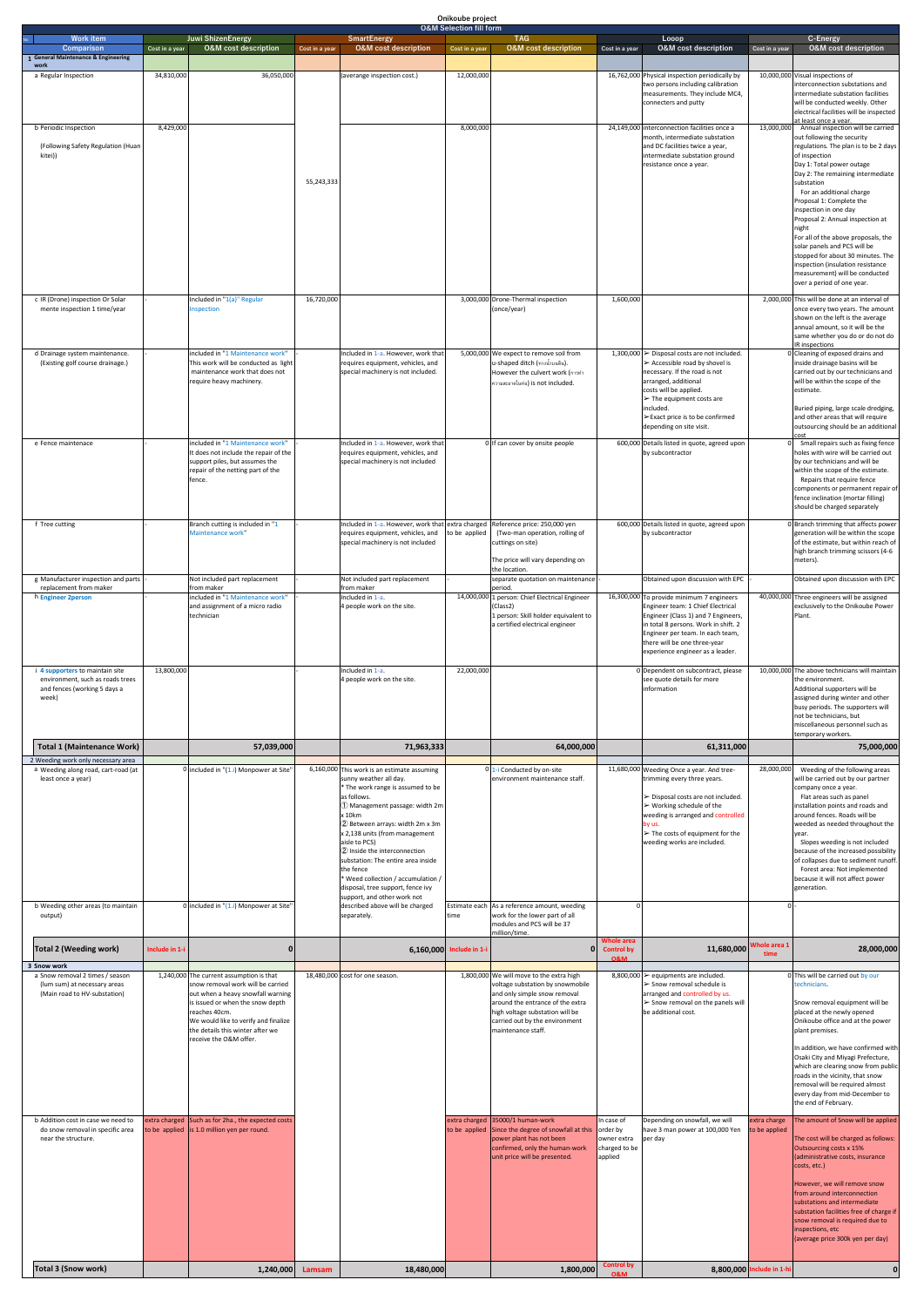| <b>Comparison</b><br>1 General Maintenance & Engineering<br>work<br>34,810,000<br>36,050,000<br>16,762,000 Physical inspection periodically by<br>a Regular Inspection<br>(averange inspection cost.)<br>12,000,000<br>two persons including calibration<br>measurements. They include MC4,<br>connecters and putty<br>8,429,000<br>8,000,000<br>24,149,000 interconnection facilities once a<br>13,000,000<br>b Periodic Inspection<br>month, intermediate substation<br>(Following Safety Regulation (Huan<br>and DC facilities twice a year,<br>kitei))<br>intermediate substation ground<br>resistance once a year.<br>55,243,333<br>c IR (Drone) inspection Or Solar<br>Included in "1(a)" Regular<br>16,720,000<br>3,000,000 Drone-Thermal inspection<br>1,600,000<br>mente inspection 1 time/year<br>nspection<br>(once/year)<br>included in "1 Maintenance work"<br>5,000,000 We expect to remove soil from<br>1,300,000 $\triangleright$ Disposal costs are not included.<br>d Drainage system maintenance.<br>Included in 1-a. However, work that<br>(Existing golf course drainage.)<br>This work will be conducted as light<br>u-shaped ditch (ทางน้ำบนดิน).<br>$\triangleright$ Accessible road by shovel is<br>requires equipment, vehicles, and<br>necessary. If the road is not<br>maintenance work that does not<br>special machinery is not included.<br>However the culvert work (nasvial<br>arranged, additional<br>require heavy machinery.<br>ความสะอาดในท่อ) is not included.<br>costs will be applied.<br>$\triangleright$ The equipment costs are<br>included.<br>≻Exact price is to be confirmed<br>depending on site visit.<br>cost<br>included in "1 Maintenance work"<br>Included in 1-a. However, work that<br>600,000 Details listed in quote, agreed upon<br>e Fence maintenace<br>0 If can cover by onsite people<br>It does not include the repair of the<br>requires equipment, vehicles, and<br>by subcontractor<br>support piles, but assumes the<br>special machinery is not included<br>repair of the netting part of the<br>fence.<br>Branch cutting is included in "1<br>Included in 1-a. However, work that<br>Reference price: 250,000 yen<br>600,000 Details listed in quote, agreed upon<br>f Tree cutting<br>extra charged<br>Maintenance work"<br>requires equipment, vehicles, and<br>(Two-man operation, rolling of<br>to be applied<br>by subcontractor<br>special machinery is not included<br>cuttings on site)<br>The price will vary depending on<br>the location.<br>Not included part replacement<br>separate quotation on maintenance<br>Obtained upon discussion with EPC<br>g Manufacturer inspection and parts<br>Not included part replacement<br>replacement from maker<br>from maker<br>from maker<br>period.<br>14,000,000 1 person: Chief Electrical Engineer<br>included in "1 Maintenance work"<br>Included in 1-a.<br>16,300,000 To provide minimum 7 engineers<br>h Engineer 2person<br>and assignment of a micro radio<br>Engineer team: 1 Chief Electrical<br>4 people work on the site.<br>(Class2)<br>technician<br>1 person: Skill holder equivalent to<br>Engineer (Class 1) and 7 Engineers,<br>a certified electrical engineer<br>in total 8 persons. Work in shift. 2<br>Engineer per team. In each team,<br>there will be one three-year<br>experience engineer as a leader.<br>i 4 supporters to maintain site<br>13,800,000<br>Included in 1-a.<br>22,000,000<br>0 Dependent on subcontract, please<br>see quote details for more<br>environment, such as roads trees<br>4 people work on the site.<br>and fences (working 5 days a<br>information<br>week)<br><b>Total 1 (Maintenance Work)</b><br>57,039,000<br>71,963,333<br>64,000,000<br>61,311,000<br>2 Weeding work only necessary area<br>11,680,000 Weeding Once a year. And tree-<br>a Weeding along road, cart-road (at<br>0 included in $''(1.1)$ Monpower at Site<br>6,160,000 This work is an estimate assuming<br>0 1-i Conducted by on-site<br>28,000,000<br>least once a year)<br>sunny weather all day.<br>environment maintenance staff.<br>trimming every three years.<br>* The work range is assumed to be<br>> Disposal costs are not included.<br>as follows.<br>1 Management passage: width 2m<br>$\triangleright$ Working schedule of the<br>x 10km<br>weeding is arranged and controlled<br>2 Between arrays: width 2m x 3m<br>by us.<br>x 2,138 units (from management<br>$\triangleright$ The costs of equipment for the<br>aisle to PCS)<br>weeding works are included.<br>2 Inside the interconnection<br>substation: The entire area inside<br>the fence |                | <b>Juwi ShizenEnergy</b>        |                | <b>SmartEnergy</b>              | <b>O&amp;M Selection fill form</b><br><b>TAG</b>  |                | Looop                           |                | C-Energy                                                                                                                                                                                                                                                                                                                                                                                                     |
|--------------------------------------------------------------------------------------------------------------------------------------------------------------------------------------------------------------------------------------------------------------------------------------------------------------------------------------------------------------------------------------------------------------------------------------------------------------------------------------------------------------------------------------------------------------------------------------------------------------------------------------------------------------------------------------------------------------------------------------------------------------------------------------------------------------------------------------------------------------------------------------------------------------------------------------------------------------------------------------------------------------------------------------------------------------------------------------------------------------------------------------------------------------------------------------------------------------------------------------------------------------------------------------------------------------------------------------------------------------------------------------------------------------------------------------------------------------------------------------------------------------------------------------------------------------------------------------------------------------------------------------------------------------------------------------------------------------------------------------------------------------------------------------------------------------------------------------------------------------------------------------------------------------------------------------------------------------------------------------------------------------------------------------------------------------------------------------------------------------------------------------------------------------------------------------------------------------------------------------------------------------------------------------------------------------------------------------------------------------------------------------------------------------------------------------------------------------------------------------------------------------------------------------------------------------------------------------------------------------------------------------------------------------------------------------------------------------------------------------------------------------------------------------------------------------------------------------------------------------------------------------------------------------------------------------------------------------------------------------------------------------------------------------------------------------------------------------------------------------------------------------------------------------------------------------------------------------------------------------------------------------------------------------------------------------------------------------------------------------------------------------------------------------------------------------------------------------------------------------------------------------------------------------------------------------------------------------------------------------------------------------------------------------------------------------------------------------------------------------------------------------------------------------------------------------------------------------------------------------------------------------------------------------------------------------------------------------------------------------------------------------------------------------------------------------------------------------------------------------------------------------------------------------------------------------------------------------------------------------------------------------------------------------------------------------------------------------------------------------------------------------------------------------------------------------------------------------------------------------------------------------------------------------------------------------------------------------------------------------------------|----------------|---------------------------------|----------------|---------------------------------|---------------------------------------------------|----------------|---------------------------------|----------------|--------------------------------------------------------------------------------------------------------------------------------------------------------------------------------------------------------------------------------------------------------------------------------------------------------------------------------------------------------------------------------------------------------------|
|                                                                                                                                                                                                                                                                                                                                                                                                                                                                                                                                                                                                                                                                                                                                                                                                                                                                                                                                                                                                                                                                                                                                                                                                                                                                                                                                                                                                                                                                                                                                                                                                                                                                                                                                                                                                                                                                                                                                                                                                                                                                                                                                                                                                                                                                                                                                                                                                                                                                                                                                                                                                                                                                                                                                                                                                                                                                                                                                                                                                                                                                                                                                                                                                                                                                                                                                                                                                                                                                                                                                                                                                                                                                                                                                                                                                                                                                                                                                                                                                                                                                                                                                                                                                                                                                                                                                                                                                                                                                                                                                                                                                                          | Cost in a year | <b>O&amp;M</b> cost description | Cost in a year | <b>O&amp;M</b> cost description | <b>O&amp;M</b> cost description<br>Cost in a year | Cost in a year | <b>O&amp;M</b> cost description | Cost in a year | <b>O&amp;M</b> cost description                                                                                                                                                                                                                                                                                                                                                                              |
|                                                                                                                                                                                                                                                                                                                                                                                                                                                                                                                                                                                                                                                                                                                                                                                                                                                                                                                                                                                                                                                                                                                                                                                                                                                                                                                                                                                                                                                                                                                                                                                                                                                                                                                                                                                                                                                                                                                                                                                                                                                                                                                                                                                                                                                                                                                                                                                                                                                                                                                                                                                                                                                                                                                                                                                                                                                                                                                                                                                                                                                                                                                                                                                                                                                                                                                                                                                                                                                                                                                                                                                                                                                                                                                                                                                                                                                                                                                                                                                                                                                                                                                                                                                                                                                                                                                                                                                                                                                                                                                                                                                                                          |                |                                 |                |                                 |                                                   |                |                                 |                | 10,000,000 Visual inspections of<br>interconnection substations and<br>intermediate substation facilities<br>will be conducted weekly. Other<br>electrical facilities will be inspected                                                                                                                                                                                                                      |
|                                                                                                                                                                                                                                                                                                                                                                                                                                                                                                                                                                                                                                                                                                                                                                                                                                                                                                                                                                                                                                                                                                                                                                                                                                                                                                                                                                                                                                                                                                                                                                                                                                                                                                                                                                                                                                                                                                                                                                                                                                                                                                                                                                                                                                                                                                                                                                                                                                                                                                                                                                                                                                                                                                                                                                                                                                                                                                                                                                                                                                                                                                                                                                                                                                                                                                                                                                                                                                                                                                                                                                                                                                                                                                                                                                                                                                                                                                                                                                                                                                                                                                                                                                                                                                                                                                                                                                                                                                                                                                                                                                                                                          |                |                                 |                |                                 |                                                   |                |                                 |                | at least once a vear.<br>Annual inspection will be carried<br>out following the security<br>regulations. The plan is to be 2 days<br>of inspection<br>Day 1: Total power outage<br>Day 2: The remaining intermediate<br>substation                                                                                                                                                                           |
|                                                                                                                                                                                                                                                                                                                                                                                                                                                                                                                                                                                                                                                                                                                                                                                                                                                                                                                                                                                                                                                                                                                                                                                                                                                                                                                                                                                                                                                                                                                                                                                                                                                                                                                                                                                                                                                                                                                                                                                                                                                                                                                                                                                                                                                                                                                                                                                                                                                                                                                                                                                                                                                                                                                                                                                                                                                                                                                                                                                                                                                                                                                                                                                                                                                                                                                                                                                                                                                                                                                                                                                                                                                                                                                                                                                                                                                                                                                                                                                                                                                                                                                                                                                                                                                                                                                                                                                                                                                                                                                                                                                                                          |                |                                 |                |                                 |                                                   |                |                                 |                | For an additional charge<br>Proposal 1: Complete the<br>inspection in one day<br>Proposal 2: Annual inspection at<br>night<br>For all of the above proposals, the<br>solar panels and PCS will be<br>stopped for about 30 minutes. The<br>inspection (insulation resistance                                                                                                                                  |
|                                                                                                                                                                                                                                                                                                                                                                                                                                                                                                                                                                                                                                                                                                                                                                                                                                                                                                                                                                                                                                                                                                                                                                                                                                                                                                                                                                                                                                                                                                                                                                                                                                                                                                                                                                                                                                                                                                                                                                                                                                                                                                                                                                                                                                                                                                                                                                                                                                                                                                                                                                                                                                                                                                                                                                                                                                                                                                                                                                                                                                                                                                                                                                                                                                                                                                                                                                                                                                                                                                                                                                                                                                                                                                                                                                                                                                                                                                                                                                                                                                                                                                                                                                                                                                                                                                                                                                                                                                                                                                                                                                                                                          |                |                                 |                |                                 |                                                   |                |                                 |                | measurement) will be conducted<br>over a period of one year.<br>2,000,000 This will be done at an interval of<br>once every two years. The amount<br>shown on the left is the average<br>annual amount, so it will be the                                                                                                                                                                                    |
|                                                                                                                                                                                                                                                                                                                                                                                                                                                                                                                                                                                                                                                                                                                                                                                                                                                                                                                                                                                                                                                                                                                                                                                                                                                                                                                                                                                                                                                                                                                                                                                                                                                                                                                                                                                                                                                                                                                                                                                                                                                                                                                                                                                                                                                                                                                                                                                                                                                                                                                                                                                                                                                                                                                                                                                                                                                                                                                                                                                                                                                                                                                                                                                                                                                                                                                                                                                                                                                                                                                                                                                                                                                                                                                                                                                                                                                                                                                                                                                                                                                                                                                                                                                                                                                                                                                                                                                                                                                                                                                                                                                                                          |                |                                 |                |                                 |                                                   |                |                                 |                | same whether you do or do not do<br>IR inspections<br>0 Cleaning of exposed drains and<br>inside drainage basins will be<br>carried out by our technicians and<br>will be within the scope of the<br>estimate.<br>Buried piping, large scale dredging,                                                                                                                                                       |
|                                                                                                                                                                                                                                                                                                                                                                                                                                                                                                                                                                                                                                                                                                                                                                                                                                                                                                                                                                                                                                                                                                                                                                                                                                                                                                                                                                                                                                                                                                                                                                                                                                                                                                                                                                                                                                                                                                                                                                                                                                                                                                                                                                                                                                                                                                                                                                                                                                                                                                                                                                                                                                                                                                                                                                                                                                                                                                                                                                                                                                                                                                                                                                                                                                                                                                                                                                                                                                                                                                                                                                                                                                                                                                                                                                                                                                                                                                                                                                                                                                                                                                                                                                                                                                                                                                                                                                                                                                                                                                                                                                                                                          |                |                                 |                |                                 |                                                   |                |                                 |                | and other areas that will require<br>outsourcing should be an additional                                                                                                                                                                                                                                                                                                                                     |
|                                                                                                                                                                                                                                                                                                                                                                                                                                                                                                                                                                                                                                                                                                                                                                                                                                                                                                                                                                                                                                                                                                                                                                                                                                                                                                                                                                                                                                                                                                                                                                                                                                                                                                                                                                                                                                                                                                                                                                                                                                                                                                                                                                                                                                                                                                                                                                                                                                                                                                                                                                                                                                                                                                                                                                                                                                                                                                                                                                                                                                                                                                                                                                                                                                                                                                                                                                                                                                                                                                                                                                                                                                                                                                                                                                                                                                                                                                                                                                                                                                                                                                                                                                                                                                                                                                                                                                                                                                                                                                                                                                                                                          |                |                                 |                |                                 |                                                   |                |                                 |                | Small repairs such as fixing fence<br>holes with wire will be carried out<br>by our technicians and will be<br>within the scope of the estimate.<br>Repairs that require fence<br>components or permanent repair of                                                                                                                                                                                          |
|                                                                                                                                                                                                                                                                                                                                                                                                                                                                                                                                                                                                                                                                                                                                                                                                                                                                                                                                                                                                                                                                                                                                                                                                                                                                                                                                                                                                                                                                                                                                                                                                                                                                                                                                                                                                                                                                                                                                                                                                                                                                                                                                                                                                                                                                                                                                                                                                                                                                                                                                                                                                                                                                                                                                                                                                                                                                                                                                                                                                                                                                                                                                                                                                                                                                                                                                                                                                                                                                                                                                                                                                                                                                                                                                                                                                                                                                                                                                                                                                                                                                                                                                                                                                                                                                                                                                                                                                                                                                                                                                                                                                                          |                |                                 |                |                                 |                                                   |                |                                 |                | fence inclination (mortar filling)<br>should be charged separately<br>0 Branch trimming that affects power<br>generation will be within the scope<br>of the estimate, but within reach of<br>high branch trimming scissors (4-6<br>meters).                                                                                                                                                                  |
|                                                                                                                                                                                                                                                                                                                                                                                                                                                                                                                                                                                                                                                                                                                                                                                                                                                                                                                                                                                                                                                                                                                                                                                                                                                                                                                                                                                                                                                                                                                                                                                                                                                                                                                                                                                                                                                                                                                                                                                                                                                                                                                                                                                                                                                                                                                                                                                                                                                                                                                                                                                                                                                                                                                                                                                                                                                                                                                                                                                                                                                                                                                                                                                                                                                                                                                                                                                                                                                                                                                                                                                                                                                                                                                                                                                                                                                                                                                                                                                                                                                                                                                                                                                                                                                                                                                                                                                                                                                                                                                                                                                                                          |                |                                 |                |                                 |                                                   |                |                                 |                | Obtained upon discussion with EPC                                                                                                                                                                                                                                                                                                                                                                            |
|                                                                                                                                                                                                                                                                                                                                                                                                                                                                                                                                                                                                                                                                                                                                                                                                                                                                                                                                                                                                                                                                                                                                                                                                                                                                                                                                                                                                                                                                                                                                                                                                                                                                                                                                                                                                                                                                                                                                                                                                                                                                                                                                                                                                                                                                                                                                                                                                                                                                                                                                                                                                                                                                                                                                                                                                                                                                                                                                                                                                                                                                                                                                                                                                                                                                                                                                                                                                                                                                                                                                                                                                                                                                                                                                                                                                                                                                                                                                                                                                                                                                                                                                                                                                                                                                                                                                                                                                                                                                                                                                                                                                                          |                |                                 |                |                                 |                                                   |                |                                 |                | 40,000,000 Three engineers will be assigned<br>exclusively to the Onikoube Power<br>Plant.                                                                                                                                                                                                                                                                                                                   |
|                                                                                                                                                                                                                                                                                                                                                                                                                                                                                                                                                                                                                                                                                                                                                                                                                                                                                                                                                                                                                                                                                                                                                                                                                                                                                                                                                                                                                                                                                                                                                                                                                                                                                                                                                                                                                                                                                                                                                                                                                                                                                                                                                                                                                                                                                                                                                                                                                                                                                                                                                                                                                                                                                                                                                                                                                                                                                                                                                                                                                                                                                                                                                                                                                                                                                                                                                                                                                                                                                                                                                                                                                                                                                                                                                                                                                                                                                                                                                                                                                                                                                                                                                                                                                                                                                                                                                                                                                                                                                                                                                                                                                          |                |                                 |                |                                 |                                                   |                |                                 |                | 10,000,000 The above technicians will maintain<br>the environment.<br>Additional supporters will be<br>assigned during winter and other<br>busy periods. The supporters will<br>not be technicians, but<br>miscellaneous personnel such as<br>temporary workers.                                                                                                                                             |
|                                                                                                                                                                                                                                                                                                                                                                                                                                                                                                                                                                                                                                                                                                                                                                                                                                                                                                                                                                                                                                                                                                                                                                                                                                                                                                                                                                                                                                                                                                                                                                                                                                                                                                                                                                                                                                                                                                                                                                                                                                                                                                                                                                                                                                                                                                                                                                                                                                                                                                                                                                                                                                                                                                                                                                                                                                                                                                                                                                                                                                                                                                                                                                                                                                                                                                                                                                                                                                                                                                                                                                                                                                                                                                                                                                                                                                                                                                                                                                                                                                                                                                                                                                                                                                                                                                                                                                                                                                                                                                                                                                                                                          |                |                                 |                |                                 |                                                   |                |                                 |                | 75,000,000                                                                                                                                                                                                                                                                                                                                                                                                   |
|                                                                                                                                                                                                                                                                                                                                                                                                                                                                                                                                                                                                                                                                                                                                                                                                                                                                                                                                                                                                                                                                                                                                                                                                                                                                                                                                                                                                                                                                                                                                                                                                                                                                                                                                                                                                                                                                                                                                                                                                                                                                                                                                                                                                                                                                                                                                                                                                                                                                                                                                                                                                                                                                                                                                                                                                                                                                                                                                                                                                                                                                                                                                                                                                                                                                                                                                                                                                                                                                                                                                                                                                                                                                                                                                                                                                                                                                                                                                                                                                                                                                                                                                                                                                                                                                                                                                                                                                                                                                                                                                                                                                                          |                |                                 |                |                                 |                                                   |                |                                 |                | Weeding of the following areas                                                                                                                                                                                                                                                                                                                                                                               |
| * Weed collection / accumulation /<br>disposal, tree support, fence ivy<br>support, and other work not<br>b Weeding other areas (to maintain<br>0 included in $"(1.i)$ Monpower at Site'<br>described above will be charged<br>Estimate each As a reference amount, weeding<br>$\Omega$<br><sup>0</sup>                                                                                                                                                                                                                                                                                                                                                                                                                                                                                                                                                                                                                                                                                                                                                                                                                                                                                                                                                                                                                                                                                                                                                                                                                                                                                                                                                                                                                                                                                                                                                                                                                                                                                                                                                                                                                                                                                                                                                                                                                                                                                                                                                                                                                                                                                                                                                                                                                                                                                                                                                                                                                                                                                                                                                                                                                                                                                                                                                                                                                                                                                                                                                                                                                                                                                                                                                                                                                                                                                                                                                                                                                                                                                                                                                                                                                                                                                                                                                                                                                                                                                                                                                                                                                                                                                                                  |                |                                 |                |                                 |                                                   |                |                                 |                | will be carried out by our partner<br>company once a year.<br>Flat areas such as panel<br>installation points and roads and<br>around fences. Roads will be<br>weeded as needed throughout the<br>year.<br>Slopes weeding is not included<br>because of the increased possibility<br>of collapses due to sediment runoff.<br>Forest area: Not implemented<br>because it will not affect power<br>generation. |
| work for the lower part of all<br>output)<br>time<br>separately.<br>modules and PCS will be 37<br>million/time.                                                                                                                                                                                                                                                                                                                                                                                                                                                                                                                                                                                                                                                                                                                                                                                                                                                                                                                                                                                                                                                                                                                                                                                                                                                                                                                                                                                                                                                                                                                                                                                                                                                                                                                                                                                                                                                                                                                                                                                                                                                                                                                                                                                                                                                                                                                                                                                                                                                                                                                                                                                                                                                                                                                                                                                                                                                                                                                                                                                                                                                                                                                                                                                                                                                                                                                                                                                                                                                                                                                                                                                                                                                                                                                                                                                                                                                                                                                                                                                                                                                                                                                                                                                                                                                                                                                                                                                                                                                                                                          |                |                                 |                |                                 |                                                   |                |                                 |                |                                                                                                                                                                                                                                                                                                                                                                                                              |
| <b>Whole area</b><br>/hole area 1<br><b>Total 2 (Weeding work)</b><br>11,680,000<br>Include in 1-i<br>6,160,000 Include in 1-i<br>$\bf{0}$<br><b>Control by</b><br>time<br><b>O&amp;M</b>                                                                                                                                                                                                                                                                                                                                                                                                                                                                                                                                                                                                                                                                                                                                                                                                                                                                                                                                                                                                                                                                                                                                                                                                                                                                                                                                                                                                                                                                                                                                                                                                                                                                                                                                                                                                                                                                                                                                                                                                                                                                                                                                                                                                                                                                                                                                                                                                                                                                                                                                                                                                                                                                                                                                                                                                                                                                                                                                                                                                                                                                                                                                                                                                                                                                                                                                                                                                                                                                                                                                                                                                                                                                                                                                                                                                                                                                                                                                                                                                                                                                                                                                                                                                                                                                                                                                                                                                                                |                |                                 |                |                                 |                                                   |                |                                 |                | 28,000,000                                                                                                                                                                                                                                                                                                                                                                                                   |
| 3 Snow work<br>18,480,000 cost for one season.<br>a Snow removal 2 times / season<br>1,240,000 The current assumption is that<br>1,800,000 We will move to the extra high<br>8,800,000 $\ge$ equipments are included.                                                                                                                                                                                                                                                                                                                                                                                                                                                                                                                                                                                                                                                                                                                                                                                                                                                                                                                                                                                                                                                                                                                                                                                                                                                                                                                                                                                                                                                                                                                                                                                                                                                                                                                                                                                                                                                                                                                                                                                                                                                                                                                                                                                                                                                                                                                                                                                                                                                                                                                                                                                                                                                                                                                                                                                                                                                                                                                                                                                                                                                                                                                                                                                                                                                                                                                                                                                                                                                                                                                                                                                                                                                                                                                                                                                                                                                                                                                                                                                                                                                                                                                                                                                                                                                                                                                                                                                                    |                |                                 |                |                                 |                                                   |                |                                 |                | 0 This will be carried out by our                                                                                                                                                                                                                                                                                                                                                                            |
| snow removal work will be carried<br>voltage substation by snowmobile<br>> Snow removal schedule is<br>(lum sum) at necessary areas<br>out when a heavy snowfall warning<br>and only simple snow removal<br>arranged and controlled by us<br>(Main road to HV-substation)<br>is issued or when the snow depth<br>around the entrance of the extra<br>$\triangleright$ Snow removal on the panels will<br>reaches 40cm.<br>high voltage substation will be<br>be additional cost.<br>We would like to verify and finalize<br>carried out by the environment<br>the details this winter after we<br>maintenance staff.<br>receive the O&M offer.                                                                                                                                                                                                                                                                                                                                                                                                                                                                                                                                                                                                                                                                                                                                                                                                                                                                                                                                                                                                                                                                                                                                                                                                                                                                                                                                                                                                                                                                                                                                                                                                                                                                                                                                                                                                                                                                                                                                                                                                                                                                                                                                                                                                                                                                                                                                                                                                                                                                                                                                                                                                                                                                                                                                                                                                                                                                                                                                                                                                                                                                                                                                                                                                                                                                                                                                                                                                                                                                                                                                                                                                                                                                                                                                                                                                                                                                                                                                                                           |                |                                 |                |                                 |                                                   |                |                                 |                | technicians.<br>Snow removal equipment will be<br>placed at the newly opened<br>Onikoube office and at the power<br>plant premises.<br>In addition, we have confirmed with<br>Osaki City and Miyagi Prefecture,<br>which are clearing snow from public<br>roads in the vicinity, that snow<br>removal will be required almost<br>every day from mid-December to<br>the end of February.                      |
| b Addition cost in case we need to<br>extra charged Such as for 2ha., the expected costs<br>extra charged 35000/1 human-work<br>Depending on snowfall, we will<br>In case of<br>extra charge<br>do snow removal in specific area<br>to be applied   is 1.0 million yen per round.<br>to be applied Since the degree of snowfall at this<br>order by<br>have 3 man power at 100,000 Yen<br>to be applied<br>power plant has not been<br>near the structure.<br>owner extra<br>per day<br>confirmed, only the human-work<br>charged to be<br>unit price will be presented.<br>applied                                                                                                                                                                                                                                                                                                                                                                                                                                                                                                                                                                                                                                                                                                                                                                                                                                                                                                                                                                                                                                                                                                                                                                                                                                                                                                                                                                                                                                                                                                                                                                                                                                                                                                                                                                                                                                                                                                                                                                                                                                                                                                                                                                                                                                                                                                                                                                                                                                                                                                                                                                                                                                                                                                                                                                                                                                                                                                                                                                                                                                                                                                                                                                                                                                                                                                                                                                                                                                                                                                                                                                                                                                                                                                                                                                                                                                                                                                                                                                                                                                      |                |                                 |                |                                 |                                                   |                |                                 |                | The amount of Snow will be applied                                                                                                                                                                                                                                                                                                                                                                           |
|                                                                                                                                                                                                                                                                                                                                                                                                                                                                                                                                                                                                                                                                                                                                                                                                                                                                                                                                                                                                                                                                                                                                                                                                                                                                                                                                                                                                                                                                                                                                                                                                                                                                                                                                                                                                                                                                                                                                                                                                                                                                                                                                                                                                                                                                                                                                                                                                                                                                                                                                                                                                                                                                                                                                                                                                                                                                                                                                                                                                                                                                                                                                                                                                                                                                                                                                                                                                                                                                                                                                                                                                                                                                                                                                                                                                                                                                                                                                                                                                                                                                                                                                                                                                                                                                                                                                                                                                                                                                                                                                                                                                                          |                |                                 |                |                                 |                                                   |                |                                 |                | The cost will be charged as follows:<br>Outsourcing costs x 15%<br>(administrative costs, insurance<br>costs, etc.)<br>However, we will remove snow<br>from around interconnection<br>substations and intermediate<br>substation facilities free of charge if<br>snow removal is required due to<br>inspections, etc<br>(average price 300k yen per day)                                                     |

**Onikoube project**